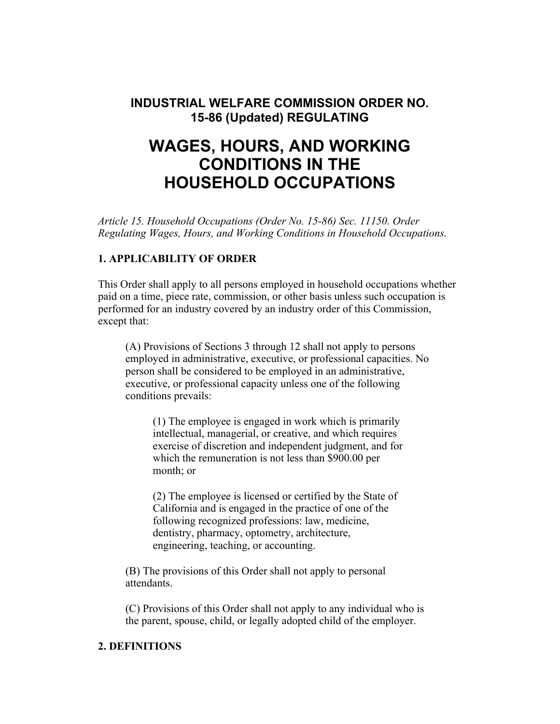# **INDUSTRIAL WELFARE COMMISSION ORDER NO. 15-86 (Updated) REGULATING**

# **WAGES, HOURS, AND WORKING CONDITIONS IN THE HOUSEHOLD OCCUPATIONS**

*Article 15. Household Occupations (Order No. 15-86) Sec. 11150. Order Regulating Wages, Hours, and Working Conditions in Household Occupations.* 

### **1. APPLICABILITY OF ORDER**

This Order shall apply to all persons employed in household occupations whether paid on a time, piece rate, commission, or other basis unless such occupation is performed for an industry covered by an industry order of this Commission, except that:

(A) Provisions of Sections 3 through 12 shall not apply to persons employed in administrative, executive, or professional capacities. No person shall be considered to be employed in an administrative, executive, or professional capacity unless one of the following conditions prevails:

(1) The employee is engaged in work which is primarily intellectual, managerial, or creative, and which requires exercise of discretion and independent judgment, and for which the remuneration is not less than \$900.00 per month; or

(2) The employee is licensed or certified by the State of California and is engaged in the practice of one of the following recognized professions: law, medicine, dentistry, pharmacy, optometry, architecture, engineering, teaching, or accounting.

(B) The provisions of this Order shall not apply to personal attendants.

(C) Provisions of this Order shall not apply to any individual who is the parent, spouse, child, or legally adopted child of the employer.

### **2. DEFINITIONS**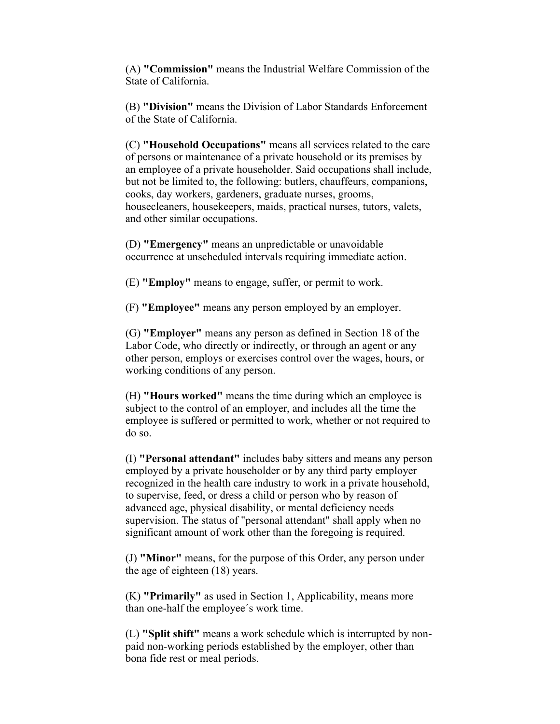(A) **"Commission"** means the Industrial Welfare Commission of the State of California.

(B) **"Division"** means the Division of Labor Standards Enforcement of the State of California.

(C) **"Household Occupations"** means all services related to the care of persons or maintenance of a private household or its premises by an employee of a private householder. Said occupations shall include, but not be limited to, the following: butlers, chauffeurs, companions, cooks, day workers, gardeners, graduate nurses, grooms, housecleaners, housekeepers, maids, practical nurses, tutors, valets, and other similar occupations.

(D) **"Emergency"** means an unpredictable or unavoidable occurrence at unscheduled intervals requiring immediate action.

(E) **"Employ"** means to engage, suffer, or permit to work.

(F) **"Employee"** means any person employed by an employer.

(G) **"Employer"** means any person as defined in Section 18 of the Labor Code, who directly or indirectly, or through an agent or any other person, employs or exercises control over the wages, hours, or working conditions of any person.

(H) **"Hours worked"** means the time during which an employee is subject to the control of an employer, and includes all the time the employee is suffered or permitted to work, whether or not required to do so.

(I) **"Personal attendant"** includes baby sitters and means any person employed by a private householder or by any third party employer recognized in the health care industry to work in a private household, to supervise, feed, or dress a child or person who by reason of advanced age, physical disability, or mental deficiency needs supervision. The status of "personal attendant" shall apply when no significant amount of work other than the foregoing is required.

(J) **"Minor"** means, for the purpose of this Order, any person under the age of eighteen (18) years.

(K) **"Primarily"** as used in Section 1, Applicability, means more than one-half the employee´s work time.

(L) **"Split shift"** means a work schedule which is interrupted by nonpaid non-working periods established by the employer, other than bona fide rest or meal periods.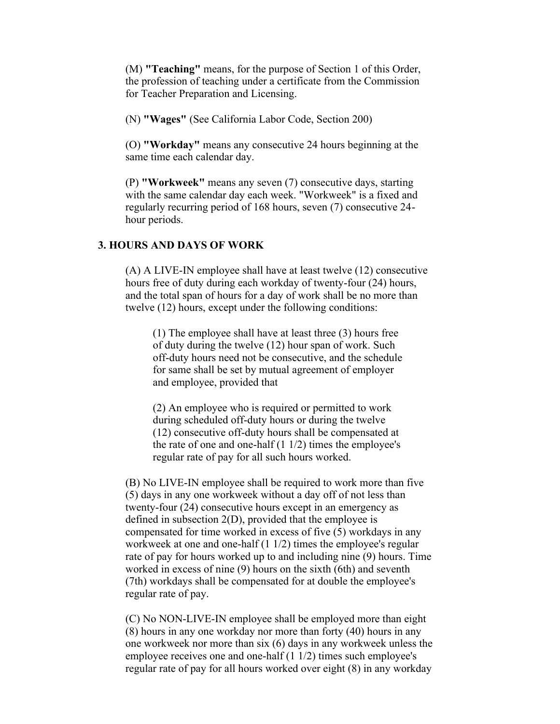(M) **"Teaching"** means, for the purpose of Section 1 of this Order, the profession of teaching under a certificate from the Commission for Teacher Preparation and Licensing.

(N) **"Wages"** (See California Labor Code, Section 200)

(O) **"Workday"** means any consecutive 24 hours beginning at the same time each calendar day.

(P) **"Workweek"** means any seven (7) consecutive days, starting with the same calendar day each week. "Workweek" is a fixed and regularly recurring period of 168 hours, seven (7) consecutive 24 hour periods.

### **3. HOURS AND DAYS OF WORK**

(A) A LIVE-IN employee shall have at least twelve (12) consecutive hours free of duty during each workday of twenty-four (24) hours, and the total span of hours for a day of work shall be no more than twelve (12) hours, except under the following conditions:

(1) The employee shall have at least three (3) hours free of duty during the twelve (12) hour span of work. Such off-duty hours need not be consecutive, and the schedule for same shall be set by mutual agreement of employer and employee, provided that

(2) An employee who is required or permitted to work during scheduled off-duty hours or during the twelve (12) consecutive off-duty hours shall be compensated at the rate of one and one-half  $(1\ 1/2)$  times the employee's regular rate of pay for all such hours worked.

(B) No LIVE-IN employee shall be required to work more than five (5) days in any one workweek without a day off of not less than twenty-four (24) consecutive hours except in an emergency as defined in subsection 2(D), provided that the employee is compensated for time worked in excess of five (5) workdays in any workweek at one and one-half (1 1/2) times the employee's regular rate of pay for hours worked up to and including nine (9) hours. Time worked in excess of nine (9) hours on the sixth (6th) and seventh (7th) workdays shall be compensated for at double the employee's regular rate of pay.

(C) No NON-LIVE-IN employee shall be employed more than eight (8) hours in any one workday nor more than forty (40) hours in any one workweek nor more than six (6) days in any workweek unless the employee receives one and one-half (1 1/2) times such employee's regular rate of pay for all hours worked over eight (8) in any workday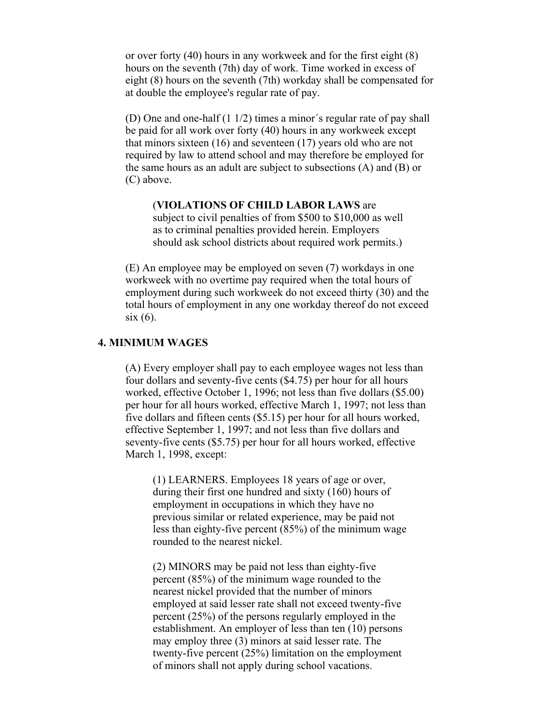or over forty (40) hours in any workweek and for the first eight (8) hours on the seventh (7th) day of work. Time worked in excess of eight (8) hours on the seventh (7th) workday shall be compensated for at double the employee's regular rate of pay.

(D) One and one-half (1 1/2) times a minor´s regular rate of pay shall be paid for all work over forty (40) hours in any workweek except that minors sixteen (16) and seventeen (17) years old who are not required by law to attend school and may therefore be employed for the same hours as an adult are subject to subsections (A) and (B) or (C) above.

### (**VIOLATIONS OF CHILD LABOR LAWS** are

subject to civil penalties of from \$500 to \$10,000 as well as to criminal penalties provided herein. Employers should ask school districts about required work permits.)

(E) An employee may be employed on seven (7) workdays in one workweek with no overtime pay required when the total hours of employment during such workweek do not exceed thirty (30) and the total hours of employment in any one workday thereof do not exceed  $six(6)$ .

### **4. MINIMUM WAGES**

(A) Every employer shall pay to each employee wages not less than four dollars and seventy-five cents (\$4.75) per hour for all hours worked, effective October 1, 1996; not less than five dollars (\$5.00) per hour for all hours worked, effective March 1, 1997; not less than five dollars and fifteen cents (\$5.15) per hour for all hours worked, effective September 1, 1997; and not less than five dollars and seventy-five cents (\$5.75) per hour for all hours worked, effective March 1, 1998, except:

(1) LEARNERS. Employees 18 years of age or over, during their first one hundred and sixty (160) hours of employment in occupations in which they have no previous similar or related experience, may be paid not less than eighty-five percent (85%) of the minimum wage rounded to the nearest nickel.

(2) MINORS may be paid not less than eighty-five percent (85%) of the minimum wage rounded to the nearest nickel provided that the number of minors employed at said lesser rate shall not exceed twenty-five percent (25%) of the persons regularly employed in the establishment. An employer of less than ten (10) persons may employ three (3) minors at said lesser rate. The twenty-five percent (25%) limitation on the employment of minors shall not apply during school vacations.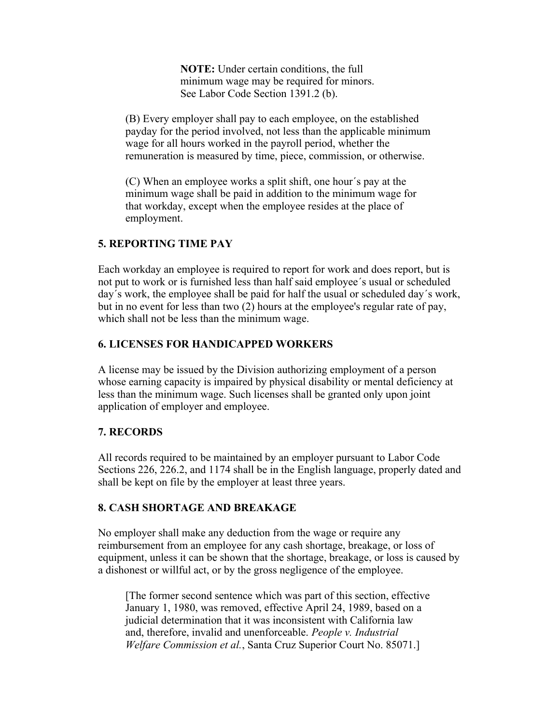**NOTE:** Under certain conditions, the full minimum wage may be required for minors. See Labor Code Section 1391.2 (b).

(B) Every employer shall pay to each employee, on the established payday for the period involved, not less than the applicable minimum wage for all hours worked in the payroll period, whether the remuneration is measured by time, piece, commission, or otherwise.

(C) When an employee works a split shift, one hour´s pay at the minimum wage shall be paid in addition to the minimum wage for that workday, except when the employee resides at the place of employment.

### **5. REPORTING TIME PAY**

Each workday an employee is required to report for work and does report, but is not put to work or is furnished less than half said employee´s usual or scheduled day´s work, the employee shall be paid for half the usual or scheduled day´s work, but in no event for less than two (2) hours at the employee's regular rate of pay, which shall not be less than the minimum wage.

### **6. LICENSES FOR HANDICAPPED WORKERS**

A license may be issued by the Division authorizing employment of a person whose earning capacity is impaired by physical disability or mental deficiency at less than the minimum wage. Such licenses shall be granted only upon joint application of employer and employee.

### **7. RECORDS**

All records required to be maintained by an employer pursuant to Labor Code Sections 226, 226.2, and 1174 shall be in the English language, properly dated and shall be kept on file by the employer at least three years.

### **8. CASH SHORTAGE AND BREAKAGE**

No employer shall make any deduction from the wage or require any reimbursement from an employee for any cash shortage, breakage, or loss of equipment, unless it can be shown that the shortage, breakage, or loss is caused by a dishonest or willful act, or by the gross negligence of the employee.

[The former second sentence which was part of this section, effective January 1, 1980, was removed, effective April 24, 1989, based on a judicial determination that it was inconsistent with California law and, therefore, invalid and unenforceable. *People v. Industrial Welfare Commission et al.*, Santa Cruz Superior Court No. 85071.]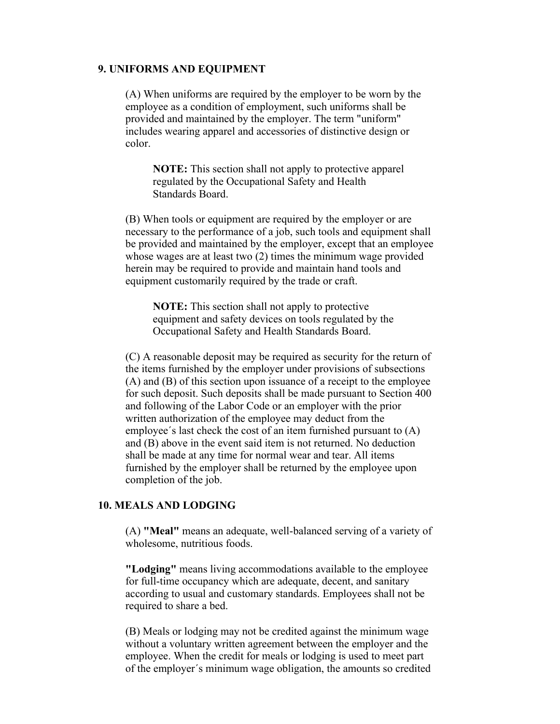#### **9. UNIFORMS AND EQUIPMENT**

(A) When uniforms are required by the employer to be worn by the employee as a condition of employment, such uniforms shall be provided and maintained by the employer. The term "uniform" includes wearing apparel and accessories of distinctive design or color.

**NOTE:** This section shall not apply to protective apparel regulated by the Occupational Safety and Health Standards Board.

(B) When tools or equipment are required by the employer or are necessary to the performance of a job, such tools and equipment shall be provided and maintained by the employer, except that an employee whose wages are at least two (2) times the minimum wage provided herein may be required to provide and maintain hand tools and equipment customarily required by the trade or craft.

**NOTE:** This section shall not apply to protective equipment and safety devices on tools regulated by the Occupational Safety and Health Standards Board.

(C) A reasonable deposit may be required as security for the return of the items furnished by the employer under provisions of subsections (A) and (B) of this section upon issuance of a receipt to the employee for such deposit. Such deposits shall be made pursuant to Section 400 and following of the Labor Code or an employer with the prior written authorization of the employee may deduct from the employee´s last check the cost of an item furnished pursuant to (A) and (B) above in the event said item is not returned. No deduction shall be made at any time for normal wear and tear. All items furnished by the employer shall be returned by the employee upon completion of the job.

### **10. MEALS AND LODGING**

(A) **"Meal"** means an adequate, well-balanced serving of a variety of wholesome, nutritious foods.

**"Lodging"** means living accommodations available to the employee for full-time occupancy which are adequate, decent, and sanitary according to usual and customary standards. Employees shall not be required to share a bed.

(B) Meals or lodging may not be credited against the minimum wage without a voluntary written agreement between the employer and the employee. When the credit for meals or lodging is used to meet part of the employer´s minimum wage obligation, the amounts so credited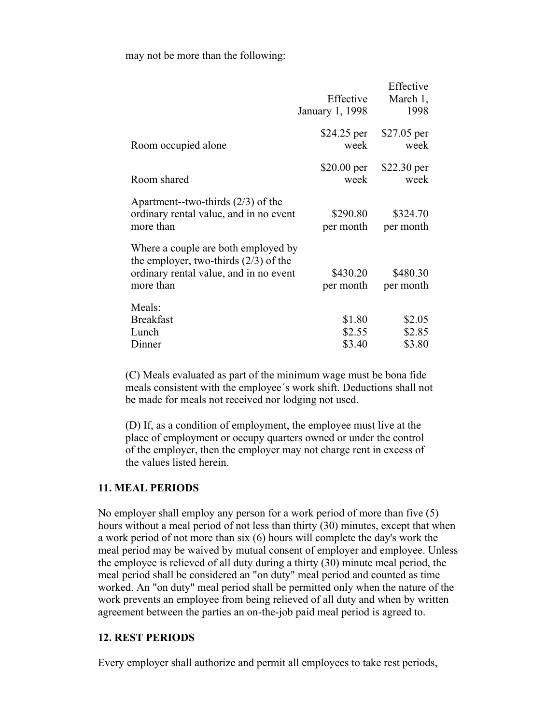may not be more than the following:

|                                                                                                                                       | Effective<br>January 1, 1998 | Effective<br>March 1,<br>1998 |
|---------------------------------------------------------------------------------------------------------------------------------------|------------------------------|-------------------------------|
| Room occupied alone                                                                                                                   | \$24.25 per<br>week          | $$27.05$ per<br>week          |
| Room shared                                                                                                                           | $$20.00$ per<br>week         | $$22.30$ per<br>week          |
| Apartment--two-thirds $(2/3)$ of the<br>ordinary rental value, and in no event<br>more than                                           | \$290.80<br>per month        | \$324.70<br>per month         |
| Where a couple are both employed by<br>the employer, two-thirds $(2/3)$ of the<br>ordinary rental value, and in no event<br>more than | \$430.20<br>per month        | \$480.30<br>per month         |
| Meals:<br><b>Breakfast</b><br>Lunch<br>Dinner                                                                                         | \$1.80<br>\$2.55<br>\$3.40   | \$2.05<br>\$2.85<br>\$3.80    |

(C) Meals evaluated as part of the minimum wage must be bona fide meals consistent with the employee´s work shift. Deductions shall not be made for meals not received nor lodging not used.

(D) If, as a condition of employment, the employee must live at the place of employment or occupy quarters owned or under the control of the employer, then the employer may not charge rent in excess of the values listed herein.

### **11. MEAL PERIODS**

No employer shall employ any person for a work period of more than five (5) hours without a meal period of not less than thirty (30) minutes, except that when a work period of not more than six (6) hours will complete the day's work the meal period may be waived by mutual consent of employer and employee. Unless the employee is relieved of all duty during a thirty (30) minute meal period, the meal period shall be considered an "on duty" meal period and counted as time worked. An "on duty" meal period shall be permitted only when the nature of the work prevents an employee from being relieved of all duty and when by written agreement between the parties an on-the-job paid meal period is agreed to.

### **12. REST PERIODS**

Every employer shall authorize and permit all employees to take rest periods,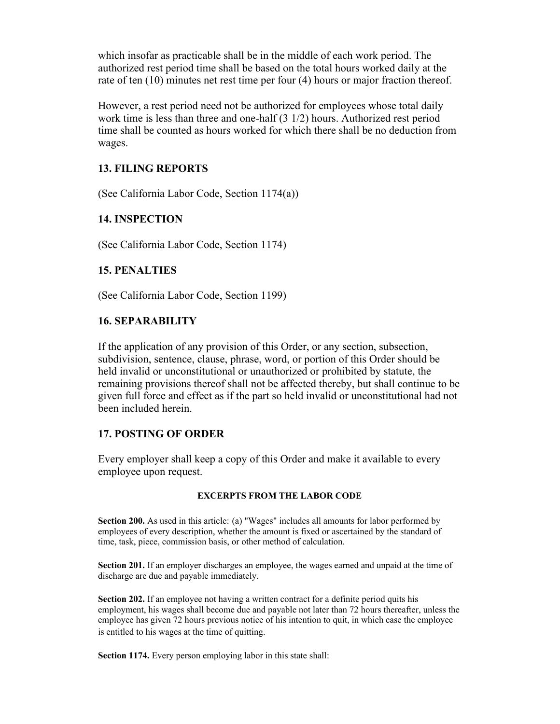which insofar as practicable shall be in the middle of each work period. The authorized rest period time shall be based on the total hours worked daily at the rate of ten (10) minutes net rest time per four (4) hours or major fraction thereof.

However, a rest period need not be authorized for employees whose total daily work time is less than three and one-half (3 1/2) hours. Authorized rest period time shall be counted as hours worked for which there shall be no deduction from wages.

## **13. FILING REPORTS**

(See California Labor Code, Section 1174(a))

# **14. INSPECTION**

(See California Labor Code, Section 1174)

# **15. PENALTIES**

(See California Labor Code, Section 1199)

### **16. SEPARABILITY**

If the application of any provision of this Order, or any section, subsection, subdivision, sentence, clause, phrase, word, or portion of this Order should be held invalid or unconstitutional or unauthorized or prohibited by statute, the remaining provisions thereof shall not be affected thereby, but shall continue to be given full force and effect as if the part so held invalid or unconstitutional had not been included herein.

# **17. POSTING OF ORDER**

Every employer shall keep a copy of this Order and make it available to every employee upon request.

### **EXCERPTS FROM THE LABOR CODE**

**Section 200.** As used in this article: (a) "Wages" includes all amounts for labor performed by employees of every description, whether the amount is fixed or ascertained by the standard of time, task, piece, commission basis, or other method of calculation.

**Section 201.** If an employer discharges an employee, the wages earned and unpaid at the time of discharge are due and payable immediately.

**Section 202.** If an employee not having a written contract for a definite period quits his employment, his wages shall become due and payable not later than 72 hours thereafter, unless the employee has given 72 hours previous notice of his intention to quit, in which case the employee is entitled to his wages at the time of quitting.

**Section 1174.** Every person employing labor in this state shall: